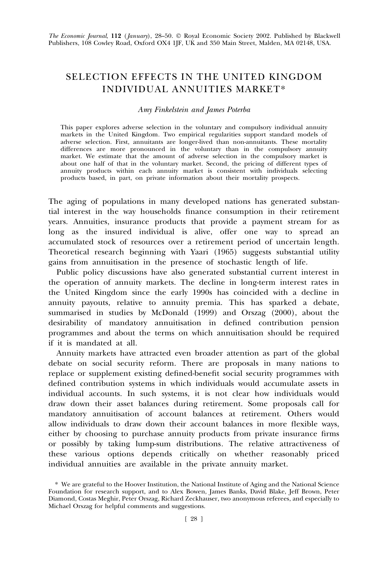# SELECTION EFFECTS IN THE UNITED KINGDOM INDIVIDUAL ANNUITIES MARKET\*

#### Amy Finkelstein and James Poterba

This paper explores adverse selection in the voluntary and compulsory individual annuity markets in the United Kingdom. Two empirical regularities support standard models of adverse selection. First, annuitants are longer-lived than non-annuitants. These mortality differences are more pronounced in the voluntary than in the compulsory annuity market. We estimate that the amount of adverse selection in the compulsory market is about one half of that in the voluntary market. Second, the pricing of different types of annuity products within each annuity market is consistent with individuals selecting products based, in part, on private information about their mortality prospects.

The aging of populations in many developed nations has generated substantial interest in the way households finance consumption in their retirement years. Annuities, insurance products that provide a payment stream for as long as the insured individual is alive, offer one way to spread an accumulated stock of resources over a retirement period of uncertain length. Theoretical research beginning with Yaari (1965) suggests substantial utility gains from annuitisation in the presence of stochastic length of life.

Public policy discussions have also generated substantial current interest in the operation of annuity markets. The decline in long-term interest rates in the United Kingdom since the early 1990s has coincided with a decline in annuity payouts, relative to annuity premia. This has sparked a debate, summarised in studies by McDonald (1999) and Orszag (2000), about the desirability of mandatory annuitisation in defined contribution pension programmes and about the terms on which annuitisation should be required if it is mandated at all.

Annuity markets have attracted even broader attention as part of the global debate on social security reform. There are proposals in many nations to replace or supplement existing defined-benefit social security programmes with defined contribution systems in which individuals would accumulate assets in individual accounts. In such systems, it is not clear how individuals would draw down their asset balances during retirement. Some proposals call for mandatory annuitisation of account balances at retirement. Others would allow individuals to draw down their account balances in more flexible ways, either by choosing to purchase annuity products from private insurance firms or possibly by taking lump-sum distributions. The relative attractiveness of these various options depends critically on whether reasonably priced individual annuities are available in the private annuity market.

<sup>\*</sup> We are grateful to the Hoover Institution, the National Institute of Aging and the National Science Foundation for research support, and to Alex Bowen, James Banks, David Blake, Jeff Brown, Peter Diamond, Costas Meghir, Peter Orszag, Richard Zeckhauser, two anonymous referees, and especially to Michael Orszag for helpful comments and suggestions.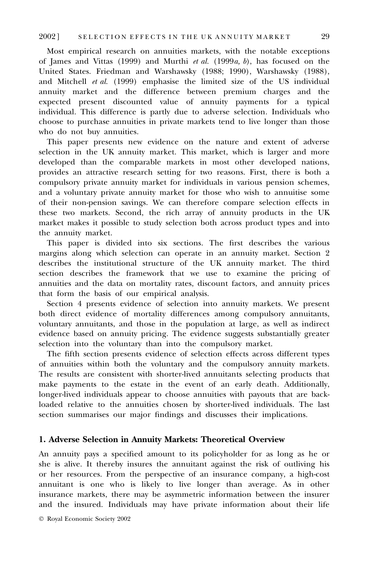Most empirical research on annuities markets, with the notable exceptions of James and Vittas (1999) and Murthi et al. (1999 $a$ ,  $b$ ), has focused on the United States. Friedman and Warshawsky (1988; 1990), Warshawsky (1988), and Mitchell et al. (1999) emphasise the limited size of the US individual annuity market and the difference between premium charges and the expected present discounted value of annuity payments for a typical individual. This difference is partly due to adverse selection. Individuals who choose to purchase annuities in private markets tend to live longer than those who do not buy annuities.

This paper presents new evidence on the nature and extent of adverse selection in the UK annuity market. This market, which is larger and more developed than the comparable markets in most other developed nations, provides an attractive research setting for two reasons. First, there is both a compulsory private annuity market for individuals in various pension schemes, and a voluntary private annuity market for those who wish to annuitise some of their non-pension savings. We can therefore compare selection effects in these two markets. Second, the rich array of annuity products in the UK market makes it possible to study selection both across product types and into the annuity market.

This paper is divided into six sections. The first describes the various margins along which selection can operate in an annuity market. Section 2 describes the institutional structure of the UK annuity market. The third section describes the framework that we use to examine the pricing of annuities and the data on mortality rates, discount factors, and annuity prices that form the basis of our empirical analysis.

Section 4 presents evidence of selection into annuity markets. We present both direct evidence of mortality differences among compulsory annuitants, voluntary annuitants, and those in the population at large, as well as indirect evidence based on annuity pricing. The evidence suggests substantially greater selection into the voluntary than into the compulsory market.

The fifth section presents evidence of selection effects across different types of annuities within both the voluntary and the compulsory annuity markets. The results are consistent with shorter-lived annuitants selecting products that make payments to the estate in the event of an early death. Additionally, longer-lived individuals appear to choose annuities with payouts that are backloaded relative to the annuities chosen by shorter-lived individuals. The last section summarises our major findings and discusses their implications.

# 1. Adverse Selection in Annuity Markets: Theoretical Overview

An annuity pays a specified amount to its policyholder for as long as he or she is alive. It thereby insures the annuitant against the risk of outliving his or her resources. From the perspective of an insurance company, a high-cost annuitant is one who is likely to live longer than average. As in other insurance markets, there may be asymmetric information between the insurer and the insured. Individuals may have private information about their life

Ó Royal Economic Society 2002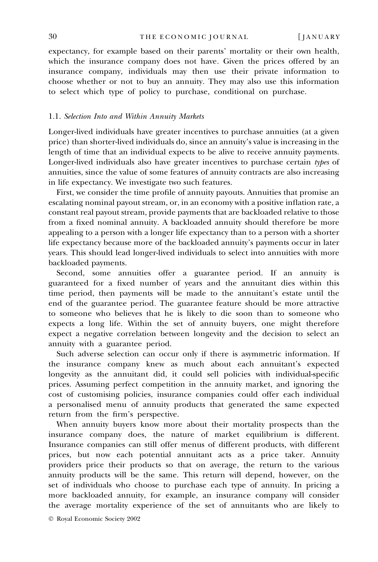expectancy, for example based on their parents' mortality or their own health, which the insurance company does not have. Given the prices offered by an insurance company, individuals may then use their private information to choose whether or not to buy an annuity. They may also use this information to select which type of policy to purchase, conditional on purchase.

#### 1.1. Selection Into and Within Annuity Markets

Longer-lived individuals have greater incentives to purchase annuities (at a given price) than shorter-lived individuals do, since an annuity's value is increasing in the length of time that an individual expects to be alive to receive annuity payments. Longer-lived individuals also have greater incentives to purchase certain types of annuities, since the value of some features of annuity contracts are also increasing in life expectancy. We investigate two such features.

First, we consider the time profile of annuity payouts. Annuities that promise an escalating nominal payout stream, or, in an economy with a positive inflation rate, a constant real payout stream, provide payments that are backloaded relative to those from a fixed nominal annuity. A backloaded annuity should therefore be more appealing to a person with a longer life expectancy than to a person with a shorter life expectancy because more of the backloaded annuity's payments occur in later years. This should lead longer-lived individuals to select into annuities with more backloaded payments.

Second, some annuities offer a guarantee period. If an annuity is guaranteed for a fixed number of years and the annuitant dies within this time period, then payments will be made to the annuitant's estate until the end of the guarantee period. The guarantee feature should be more attractive to someone who believes that he is likely to die soon than to someone who expects a long life. Within the set of annuity buyers, one might therefore expect a negative correlation between longevity and the decision to select an annuity with a guarantee period.

Such adverse selection can occur only if there is asymmetric information. If the insurance company knew as much about each annuitant's expected longevity as the annuitant did, it could sell policies with individual-specific prices. Assuming perfect competition in the annuity market, and ignoring the cost of customising policies, insurance companies could offer each individual a personalised menu of annuity products that generated the same expected return from the firm's perspective.

When annuity buyers know more about their mortality prospects than the insurance company does, the nature of market equilibrium is different. Insurance companies can still offer menus of different products, with different prices, but now each potential annuitant acts as a price taker. Annuity providers price their products so that on average, the return to the various annuity products will be the same. This return will depend, however, on the set of individuals who choose to purchase each type of annuity. In pricing a more backloaded annuity, for example, an insurance company will consider the average mortality experience of the set of annuitants who are likely to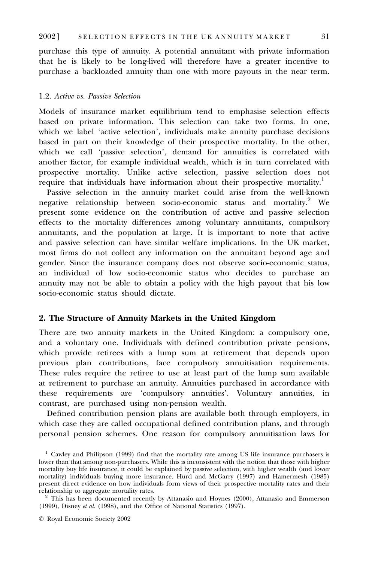purchase this type of annuity. A potential annuitant with private information that he is likely to be long-lived will therefore have a greater incentive to purchase a backloaded annuity than one with more payouts in the near term.

#### 1.2. Active vs. Passive Selection

Models of insurance market equilibrium tend to emphasise selection effects based on private information. This selection can take two forms. In one, which we label 'active selection', individuals make annuity purchase decisions based in part on their knowledge of their prospective mortality. In the other, which we call 'passive selection', demand for annuities is correlated with another factor, for example individual wealth, which is in turn correlated with prospective mortality. Unlike active selection, passive selection does not require that individuals have information about their prospective mortality.<sup>1</sup>

Passive selection in the annuity market could arise from the well-known negative relationship between socio-economic status and mortality.<sup>2</sup> We present some evidence on the contribution of active and passive selection effects to the mortality differences among voluntary annuitants, compulsory annuitants, and the population at large. It is important to note that active and passive selection can have similar welfare implications. In the UK market, most firms do not collect any information on the annuitant beyond age and gender. Since the insurance company does not observe socio-economic status, an individual of low socio-economic status who decides to purchase an annuity may not be able to obtain a policy with the high payout that his low socio-economic status should dictate.

## 2. The Structure of Annuity Markets in the United Kingdom

There are two annuity markets in the United Kingdom: a compulsory one, and a voluntary one. Individuals with defined contribution private pensions, which provide retirees with a lump sum at retirement that depends upon previous plan contributions, face compulsory annuitisation requirements. These rules require the retiree to use at least part of the lump sum available at retirement to purchase an annuity. Annuities purchased in accordance with these requirements are `compulsory annuities'. Voluntary annuities, in contrast, are purchased using non-pension wealth.

Defined contribution pension plans are available both through employers, in which case they are called occupational defined contribution plans, and through personal pension schemes. One reason for compulsory annuitisation laws for

 $1$  Cawley and Philipson (1999) find that the mortality rate among US life insurance purchasers is lower than that among non-purchasers. While this is inconsistent with the notion that those with higher mortality buy life insurance, it could be explained by passive selection, with higher wealth (and lower mortality) individuals buying more insurance. Hurd and McGarry (1997) and Hamermesh (1985) present direct evidence on how individuals form views of their prospective mortality rates and their relationship to aggregate mortality rates. <sup>2</sup> This has been documented recently by Attanasio and Hoynes (2000), Attanasio and Emmerson

<sup>(1999),</sup> Disney et al. (1998), and the Office of National Statistics (1997).

Ó Royal Economic Society 2002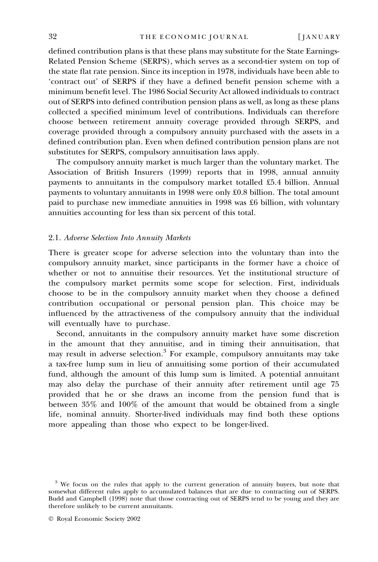defined contribution plans is that these plans may substitute for the State Earnings-Related Pension Scheme (SERPS), which serves as a second-tier system on top of the state flat rate pension. Since its inception in 1978, individuals have been able to 'contract out' of SERPS if they have a defined benefit pension scheme with a minimum benefit level. The 1986 Social Security Act allowed individuals to contract out of SERPS into defined contribution pension plans as well, as long as these plans collected a specified minimum level of contributions. Individuals can therefore choose between retirement annuity coverage provided through SERPS, and coverage provided through a compulsory annuity purchased with the assets in a defined contribution plan. Even when defined contribution pension plans are not substitutes for SERPS, compulsory annuitisation laws apply.

The compulsory annuity market is much larger than the voluntary market. The Association of British Insurers (1999) reports that in 1998, annual annuity payments to annuitants in the compulsory market totalled £5.4 billion. Annual payments to voluntary annuitants in 1998 were only £0.8 billion. The total amount paid to purchase new immediate annuities in 1998 was £6 billion, with voluntary annuities accounting for less than six percent of this total.

#### 2.1. Adverse Selection Into Annuity Markets

There is greater scope for adverse selection into the voluntary than into the compulsory annuity market, since participants in the former have a choice of whether or not to annuitise their resources. Yet the institutional structure of the compulsory market permits some scope for selection. First, individuals choose to be in the compulsory annuity market when they choose a defined contribution occupational or personal pension plan. This choice may be influenced by the attractiveness of the compulsory annuity that the individual will eventually have to purchase.

Second, annuitants in the compulsory annuity market have some discretion in the amount that they annuitise, and in timing their annuitisation, that may result in adverse selection.<sup>3</sup> For example, compulsory annuitants may take a tax-free lump sum in lieu of annuitising some portion of their accumulated fund, although the amount of this lump sum is limited. A potential annuitant may also delay the purchase of their annuity after retirement until age 75 provided that he or she draws an income from the pension fund that is between 35% and 100% of the amount that would be obtained from a single life, nominal annuity. Shorter-lived individuals may find both these options more appealing than those who expect to be longer-lived.

<sup>&</sup>lt;sup>3</sup> We focus on the rules that apply to the current generation of annuity buyers, but note that somewhat different rules apply to accumulated balances that are due to contracting out of SERPS. Budd and Campbell (1998) note that those contracting out of SERPS tend to be young and they are therefore unlikely to be current annuitants.

Ó Royal Economic Society 2002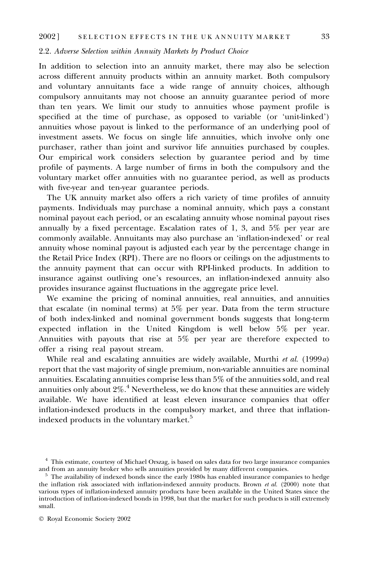## 2.2. Adverse Selection within Annuity Markets by Product Choice

In addition to selection into an annuity market, there may also be selection across different annuity products within an annuity market. Both compulsory and voluntary annuitants face a wide range of annuity choices, although compulsory annuitants may not choose an annuity guarantee period of more than ten years. We limit our study to annuities whose payment profile is specified at the time of purchase, as opposed to variable (or 'unit-linked') annuities whose payout is linked to the performance of an underlying pool of investment assets. We focus on single life annuities, which involve only one purchaser, rather than joint and survivor life annuities purchased by couples. Our empirical work considers selection by guarantee period and by time profile of payments. A large number of firms in both the compulsory and the voluntary market offer annuities with no guarantee period, as well as products with five-year and ten-year guarantee periods.

The UK annuity market also offers a rich variety of time profiles of annuity payments. Individuals may purchase a nominal annuity, which pays a constant nominal payout each period, or an escalating annuity whose nominal payout rises annually by a fixed percentage. Escalation rates of 1, 3, and  $5\%$  per year are commonly available. Annuitants may also purchase an 'inflation-indexed' or real annuity whose nominal payout is adjusted each year by the percentage change in the Retail Price Index (RPI). There are no floors or ceilings on the adjustments to the annuity payment that can occur with RPI-linked products. In addition to insurance against outliving one's resources, an inflation-indexed annuity also provides insurance against fluctuations in the aggregate price level.

We examine the pricing of nominal annuities, real annuities, and annuities that escalate (in nominal terms) at 5% per year. Data from the term structure of both index-linked and nominal government bonds suggests that long-term expected inflation in the United Kingdom is well below  $5\%$  per year. Annuities with payouts that rise at 5% per year are therefore expected to offer a rising real payout stream.

While real and escalating annuities are widely available, Murthi et al.  $(1999a)$ report that the vast majority of single premium, non-variable annuities are nominal annuities. Escalating annuities comprise less than 5% of the annuities sold, and real annuities only about  $2\%$ .<sup>4</sup> Nevertheless, we do know that these annuities are widely available. We have identified at least eleven insurance companies that offer inflation-indexed products in the compulsory market, and three that inflationindexed products in the voluntary market.<sup>5</sup>

Ó Royal Economic Society 2002

<sup>&</sup>lt;sup>4</sup> This estimate, courtesy of Michael Orszag, is based on sales data for two large insurance companies and from an annuity broker who sells annuities provided by many different companies.

 $5$  The availability of indexed bonds since the early 1980s has enabled insurance companies to hedge the inflation risk associated with inflation-indexed annuity products. Brown et al. (2000) note that various types of inflation-indexed annuity products have been available in the United States since the introduction of inflation-indexed bonds in 1998, but that the market for such products is still extremely small.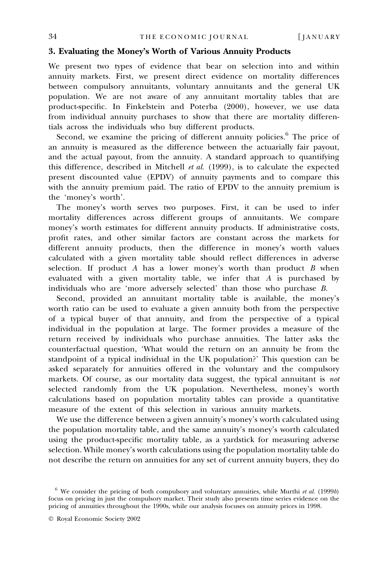# 3. Evaluating the Money's Worth of Various Annuity Products

We present two types of evidence that bear on selection into and within annuity markets. First, we present direct evidence on mortality differences between compulsory annuitants, voluntary annuitants and the general UK population. We are not aware of any annuitant mortality tables that are product-specific. In Finkelstein and Poterba (2000), however, we use data from individual annuity purchases to show that there are mortality differentials across the individuals who buy different products.

Second, we examine the pricing of different annuity policies.<sup>6</sup> The price of an annuity is measured as the difference between the actuarially fair payout, and the actual payout, from the annuity. A standard approach to quantifying this difference, described in Mitchell  $et al.$  (1999), is to calculate the expected present discounted value (EPDV) of annuity payments and to compare this with the annuity premium paid. The ratio of EPDV to the annuity premium is the `money's worth'.

The money's worth serves two purposes. First, it can be used to infer mortality differences across different groups of annuitants. We compare money's worth estimates for different annuity products. If administrative costs, profit rates, and other similar factors are constant across the markets for different annuity products, then the difference in money's worth values calculated with a given mortality table should reflect differences in adverse selection. If product  $A$  has a lower money's worth than product  $B$  when evaluated with a given mortality table, we infer that A is purchased by individuals who are 'more adversely selected' than those who purchase B.

Second, provided an annuitant mortality table is available, the money's worth ratio can be used to evaluate a given annuity both from the perspective of a typical buyer of that annuity, and from the perspective of a typical individual in the population at large. The former provides a measure of the return received by individuals who purchase annuities. The latter asks the counterfactual question, 'What would the return on an annuity be from the standpoint of a typical individual in the UK population?' This question can be asked separately for annuities offered in the voluntary and the compulsory markets. Of course, as our mortality data suggest, the typical annuitant is not selected randomly from the UK population. Nevertheless, money's worth calculations based on population mortality tables can provide a quantitative measure of the extent of this selection in various annuity markets.

We use the difference between a given annuity's money's worth calculated using the population mortality table, and the same annuity's money's worth calculated using the product-specific mortality table, as a yardstick for measuring adverse selection. While money's worth calculations using the population mortality table do not describe the return on annuities for any set of current annuity buyers, they do

 $6\,$  We consider the pricing of both compulsory and voluntary annuities, while Murthi et al. (1999b) focus on pricing in just the compulsory market. Their study also presents time series evidence on the pricing of annuities throughout the 1990s, while our analysis focuses on annuity prices in 1998.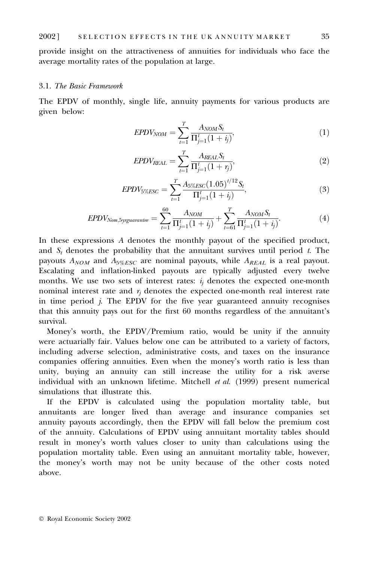provide insight on the attractiveness of annuities for individuals who face the average mortality rates of the population at large.

#### 3.1. The Basic Framework

The EPDV of monthly, single life, annuity payments for various products are given below:

$$
EPDV_{NOM} = \sum_{t=1}^{T} \frac{A_{NOM} S_t}{\Pi_{j=1}^t (1+i_j)},
$$
\n(1)

$$
EPDV_{REL} = \sum_{t=1}^{T} \frac{A_{REL} S_t}{\Pi_{j=1}^t (1 + r_j)},
$$
\n(2)

$$
EPDV_{5\%ESC} = \sum_{t=1}^{T} \frac{A_{5\%ESC} (1.05)^{t/12} S_t}{\Pi_{j=1}^t (1+i_j)},\tag{3}
$$

$$
EPDV_{Nom,5yrguarantee} = \sum_{t=1}^{60} \frac{A_{NOM}}{\prod_{j=1}^{t} (1+i_j)} + \sum_{t=61}^{T} \frac{A_{NOM} S_t}{\prod_{j=1}^{t} (1+i_j)}.
$$
(4)

In these expressions  $A$  denotes the monthly payout of the specified product, and  $S_t$  denotes the probability that the annuitant survives until period t. The payouts  $A_{NOM}$  and  $A_{5\% ESC}$  are nominal payouts, while  $A_{RE4L}$  is a real payout. Escalating and inflation-linked payouts are typically adjusted every twelve months. We use two sets of interest rates:  $i_j$  denotes the expected one-month nominal interest rate and  $r_i$  denotes the expected one-month real interest rate in time period  $j$ . The EPDV for the five year guaranteed annuity recognises that this annuity pays out for the first 60 months regardless of the annuitant's survival.

Money's worth, the EPDV/Premium ratio, would be unity if the annuity were actuarially fair. Values below one can be attributed to a variety of factors, including adverse selection, administrative costs, and taxes on the insurance companies offering annuities. Even when the money's worth ratio is less than unity, buying an annuity can still increase the utility for a risk averse individual with an unknown lifetime. Mitchell et al. (1999) present numerical simulations that illustrate this.

If the EPDV is calculated using the population mortality table, but annuitants are longer lived than average and insurance companies set annuity payouts accordingly, then the EPDV will fall below the premium cost of the annuity. Calculations of EPDV using annuitant mortality tables should result in money's worth values closer to unity than calculations using the population mortality table. Even using an annuitant mortality table, however, the money's worth may not be unity because of the other costs noted above.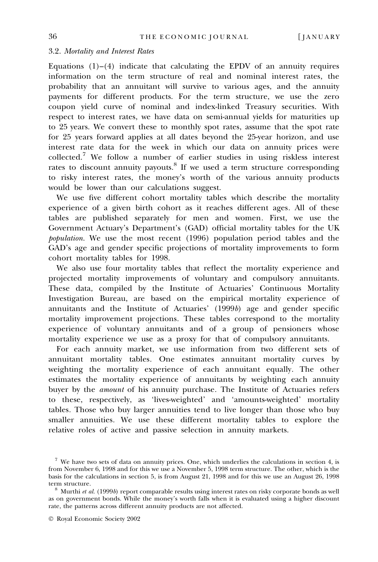## 3.2. Mortality and Interest Rates

Equations  $(1)-(4)$  indicate that calculating the EPDV of an annuity requires information on the term structure of real and nominal interest rates, the probability that an annuitant will survive to various ages, and the annuity payments for different products. For the term structure, we use the zero coupon yield curve of nominal and index-linked Treasury securities. With respect to interest rates, we have data on semi-annual yields for maturities up to 25 years. We convert these to monthly spot rates, assume that the spot rate for 25 years forward applies at all dates beyond the 25-year horizon, and use interest rate data for the week in which our data on annuity prices were collected.<sup>7</sup> We follow a number of earlier studies in using riskless interest rates to discount annuity payouts.<sup>8</sup> If we used a term structure corresponding to risky interest rates, the money's worth of the various annuity products would be lower than our calculations suggest.

We use five different cohort mortality tables which describe the mortality experience of a given birth cohort as it reaches different ages. All of these tables are published separately for men and women. First, we use the Government Actuary's Department's (GAD) official mortality tables for the UK population. We use the most recent (1996) population period tables and the GAD's age and gender specific projections of mortality improvements to form cohort mortality tables for 1998.

We also use four mortality tables that reflect the mortality experience and projected mortality improvements of voluntary and compulsory annuitants. These data, compiled by the Institute of Actuaries' Continuous Mortality Investigation Bureau, are based on the empirical mortality experience of annuitants and the Institute of Actuaries'  $(1999b)$  age and gender specific mortality improvement projections. These tables correspond to the mortality experience of voluntary annuitants and of a group of pensioners whose mortality experience we use as a proxy for that of compulsory annuitants.

For each annuity market, we use information from two different sets of annuitant mortality tables. One estimates annuitant mortality curves by weighting the mortality experience of each annuitant equally. The other estimates the mortality experience of annuitants by weighting each annuity buyer by the amount of his annuity purchase. The Institute of Actuaries refers to these, respectively, as `lives-weighted' and `amounts-weighted' mortality tables. Those who buy larger annuities tend to live longer than those who buy smaller annuities. We use these different mortality tables to explore the relative roles of active and passive selection in annuity markets.

 $7\,$  We have two sets of data on annuity prices. One, which underlies the calculations in section 4, is from November 6, 1998 and for this we use a November 5, 1998 term structure. The other, which is the basis for the calculations in section 5, is from August 21, 1998 and for this we use an August 26, 1998 term structure.<br><sup>8</sup> Murthi *et al.* (1999*b*) report comparable results using interest rates on risky corporate bonds as well

as on government bonds. While the money's worth falls when it is evaluated using a higher discount rate, the patterns across different annuity products are not affected.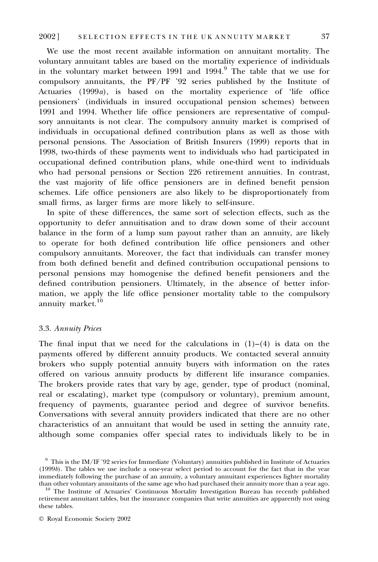We use the most recent available information on annuitant mortality. The voluntary annuitant tables are based on the mortality experience of individuals in the voluntary market between 1991 and 1994.<sup>9</sup> The table that we use for compulsory annuitants, the PF/PF '92 series published by the Institute of Actuaries  $(1999a)$ , is based on the mortality experience of 'life office pensioners' (individuals in insured occupational pension schemes) between 1991 and 1994. Whether life office pensioners are representative of compulsory annuitants is not clear. The compulsory annuity market is comprised of individuals in occupational defined contribution plans as well as those with personal pensions. The Association of British Insurers (1999) reports that in 1998, two-thirds of these payments went to individuals who had participated in occupational defined contribution plans, while one-third went to individuals who had personal pensions or Section 226 retirement annuities. In contrast, the vast majority of life office pensioners are in defined benefit pension schemes. Life office pensioners are also likely to be disproportionately from small firms, as larger firms are more likely to self-insure.

In spite of these differences, the same sort of selection effects, such as the opportunity to defer annuitisation and to draw down some of their account balance in the form of a lump sum payout rather than an annuity, are likely to operate for both defined contribution life office pensioners and other compulsory annuitants. Moreover, the fact that individuals can transfer money from both defined benefit and defined contribution occupational pensions to personal pensions may homogenise the defined benefit pensioners and the defined contribution pensioners. Ultimately, in the absence of better information, we apply the life office pensioner mortality table to the compulsory annuity market.<sup>10</sup>

#### 3.3. Annuity Prices

The final input that we need for the calculations in  $(1)-(4)$  is data on the payments offered by different annuity products. We contacted several annuity brokers who supply potential annuity buyers with information on the rates offered on various annuity products by different life insurance companies. The brokers provide rates that vary by age, gender, type of product (nominal, real or escalating), market type (compulsory or voluntary), premium amount, frequency of payments, guarantee period and degree of survivor benefits. Conversations with several annuity providers indicated that there are no other characteristics of an annuitant that would be used in setting the annuity rate, although some companies offer special rates to individuals likely to be in

<sup>9</sup> This is the IM/IF '92 series for Immediate (Voluntary) annuities published in Institute of Actuaries (1999b). The tables we use include a one-year select period to account for the fact that in the year immediately following the purchase of an annuity, a voluntary annuitant experiences lighter mortality

<sup>&</sup>lt;sup>10</sup> The Institute of Actuaries' Continuous Mortality Investigation Bureau has recently published retirement annuitant tables, but the insurance companies that write annuities are apparently not using these tables.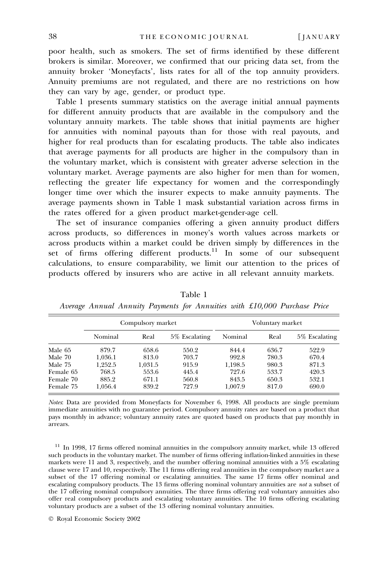poor health, such as smokers. The set of firms identified by these different brokers is similar. Moreover, we confirmed that our pricing data set, from the annuity broker `Moneyfacts', lists rates for all of the top annuity providers. Annuity premiums are not regulated, and there are no restrictions on how they can vary by age, gender, or product type.

Table 1 presents summary statistics on the average initial annual payments for different annuity products that are available in the compulsory and the voluntary annuity markets. The table shows that initial payments are higher for annuities with nominal payouts than for those with real payouts, and higher for real products than for escalating products. The table also indicates that average payments for all products are higher in the compulsory than in the voluntary market, which is consistent with greater adverse selection in the voluntary market. Average payments are also higher for men than for women, reflecting the greater life expectancy for women and the correspondingly longer time over which the insurer expects to make annuity payments. The average payments shown in Table 1 mask substantial variation across firms in the rates offered for a given product market-gender-age cell.

The set of insurance companies offering a given annuity product differs across products, so differences in money's worth values across markets or across products within a market could be driven simply by differences in the set of firms offering different products.<sup>11</sup> In some of our subsequent calculations, to ensure comparability, we limit our attention to the prices of products offered by insurers who are active in all relevant annuity markets.

|           | Compulsory market |         |               | Voluntary market |       |               |
|-----------|-------------------|---------|---------------|------------------|-------|---------------|
|           | Nominal           | Real    | 5% Escalating | Nominal          | Real  | 5% Escalating |
| Male 65   | 879.7             | 658.6   | 550.2         | 844.4            | 636.7 | 522.9         |
| Male 70   | 1.036.1           | 813.0   | 703.7         | 992.8            | 780.3 | 670.4         |
| Male 75   | 1.252.5           | 1,031.5 | 915.9         | 1,198.5          | 980.3 | 871.3         |
| Female 65 | 768.5             | 553.6   | 445.4         | 727.6            | 533.7 | 420.3         |
| Female 70 | 885.2             | 671.1   | 560.8         | 843.5            | 650.3 | 532.1         |
| Female 75 | 1.056.4           | 839.2   | 727.9         | 1.007.9          | 817.0 | 690.0         |

Table 1 Average Annual Annuity Payments for Annuities with £10,000 Purchase Price

Notes: Data are provided from Moneyfacts for November 6, 1998. All products are single premium immediate annuities with no guarantee period. Compulsory annuity rates are based on a product that pays monthly in advance; voluntary annuity rates are quoted based on products that pay monthly in arrears.

 $11$  In 1998, 17 firms offered nominal annuities in the compulsory annuity market, while 13 offered such products in the voluntary market. The number of firms offering inflation-linked annuities in these markets were 11 and 3, respectively, and the number offering nominal annuities with a 5% escalating clause were 17 and 10, respectively. The 11 firms offering real annuities in the compulsory market are a subset of the 17 offering nominal or escalating annuities. The same 17 firms offer nominal and escalating compulsory products. The 13 firms offering nominal voluntary annuities are not a subset of the 17 offering nominal compulsory annuities. The three firms offering real voluntary annuities also offer real compulsory products and escalating voluntary annuities. The 10 firms offering escalating voluntary products are a subset of the 13 offering nominal voluntary annuities.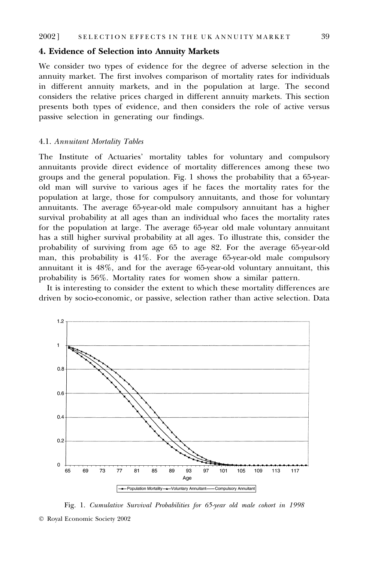### 4. Evidence of Selection into Annuity Markets

We consider two types of evidence for the degree of adverse selection in the annuity market. The first involves comparison of mortality rates for individuals in different annuity markets, and in the population at large. The second considers the relative prices charged in different annuity markets. This section presents both types of evidence, and then considers the role of active versus passive selection in generating our findings.

#### 4.1. Annuitant Mortality Tables

The Institute of Actuaries' mortality tables for voluntary and compulsory annuitants provide direct evidence of mortality differences among these two groups and the general population. Fig. 1 shows the probability that a 65-yearold man will survive to various ages if he faces the mortality rates for the population at large, those for compulsory annuitants, and those for voluntary annuitants. The average 65-year-old male compulsory annuitant has a higher survival probability at all ages than an individual who faces the mortality rates for the population at large. The average 65-year old male voluntary annuitant has a still higher survival probability at all ages. To illustrate this, consider the probability of surviving from age 65 to age 82. For the average 65-year-old man, this probability is 41%. For the average 65-year-old male compulsory annuitant it is 48%, and for the average 65-year-old voluntary annuitant, this probability is 56%. Mortality rates for women show a similar pattern.

It is interesting to consider the extent to which these mortality differences are driven by socio-economic, or passive, selection rather than active selection. Data



Fig. 1. Cumulative Survival Probabilities for 65-year old male cohort in 1998 Ó Royal Economic Society 2002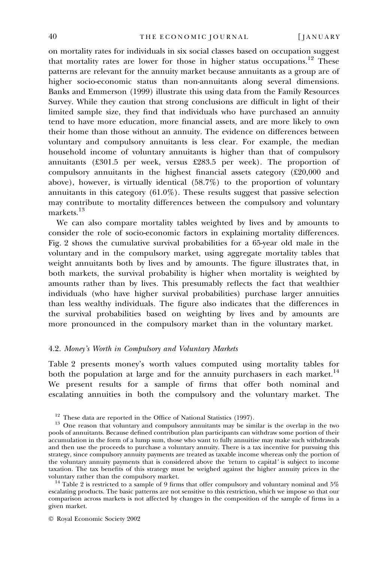on mortality rates for individuals in six social classes based on occupation suggest that mortality rates are lower for those in higher status occupations.<sup>12</sup> These patterns are relevant for the annuity market because annuitants as a group are of higher socio-economic status than non-annuitants along several dimensions. Banks and Emmerson (1999) illustrate this using data from the Family Resources Survey. While they caution that strong conclusions are difficult in light of their limited sample size, they find that individuals who have purchased an annuity tend to have more education, more financial assets, and are more likely to own their home than those without an annuity. The evidence on differences between voluntary and compulsory annuitants is less clear. For example, the median household income of voluntary annuitants is higher than that of compulsory annuitants (£301.5 per week, versus £283.5 per week). The proportion of compulsory annuitants in the highest financial assets category  $(E20,000$  and above), however, is virtually identical (58.7%) to the proportion of voluntary annuitants in this category  $(61.0\%)$ . These results suggest that passive selection may contribute to mortality differences between the compulsory and voluntary markets.<sup>13</sup>

We can also compare mortality tables weighted by lives and by amounts to consider the role of socio-economic factors in explaining mortality differences. Fig. 2 shows the cumulative survival probabilities for a 65-year old male in the voluntary and in the compulsory market, using aggregate mortality tables that weight annuitants both by lives and by amounts. The figure illustrates that, in both markets, the survival probability is higher when mortality is weighted by amounts rather than by lives. This presumably reflects the fact that wealthier individuals (who have higher survival probabilities) purchase larger annuities than less wealthy individuals. The figure also indicates that the differences in the survival probabilities based on weighting by lives and by amounts are more pronounced in the compulsory market than in the voluntary market.

#### 4.2. Money's Worth in Compulsory and Voluntary Markets

Table 2 presents money's worth values computed using mortality tables for both the population at large and for the annuity purchasers in each market.<sup>14</sup> We present results for a sample of firms that offer both nominal and escalating annuities in both the compulsory and the voluntary market. The

<sup>14</sup> Table 2 is restricted to a sample of 9 firms that offer compulsory and voluntary nominal and 5% escalating products. The basic patterns are not sensitive to this restriction, which we impose so that our comparison across markets is not affected by changes in the composition of the sample of firms in a given market.

<sup>&</sup>lt;sup>12</sup> These data are reported in the Office of National Statistics (1997).<br><sup>13</sup> One reason that voluntary and compulsory annuitants may be similar is the overlap in the two pools of annuitants. Because defined contribution plan participants can withdraw some portion of their accumulation in the form of a lump sum, those who want to fully annuitise may make such withdrawals and then use the proceeds to purchase a voluntary annuity. There is a tax incentive for pursuing this strategy, since compulsory annuity payments are treated as taxable income whereas only the portion of the voluntary annuity payments that is considered above the `return to capital' is subject to income taxation. The tax benefits of this strategy must be weighed against the higher annuity prices in the voluntary rather than the compulsory market.

Ó Royal Economic Society 2002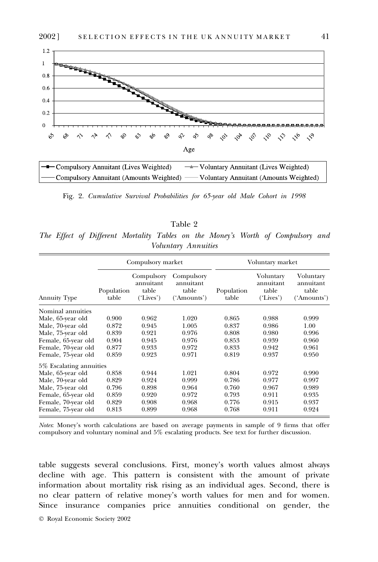

Fig. 2. Cumulative Survival Probabilities for 65-year old Male Cohort in 1998

| <b>Table</b> |  |
|--------------|--|
|--------------|--|

The Effect of Different Mortality Tables on the Money's Worth of Compulsory and Voluntary Annuities

|                         | Compulsory market   |                                             |                                                 | Voluntary market    |                                            |                                                |
|-------------------------|---------------------|---------------------------------------------|-------------------------------------------------|---------------------|--------------------------------------------|------------------------------------------------|
| <b>Annuity Type</b>     | Population<br>table | Compulsory<br>annuitant<br>table<br>'Lives' | Compulsory<br>annuitant<br>table<br>('Amounts') | Population<br>table | Voluntary<br>annuitant<br>table<br>'Lives' | Voluntary<br>annuitant<br>table<br>('Amounts') |
| Nominal annuities       |                     |                                             |                                                 |                     |                                            |                                                |
| Male, 65-year old       | 0.900               | 0.962                                       | 1.020                                           | 0.865               | 0.988                                      | 0.999                                          |
| Male, 70-year old       | 0.872               | 0.945                                       | 1.005                                           | 0.837               | 0.986                                      | 1.00                                           |
| Male, 75-year old       | 0.839               | 0.921                                       | 0.976                                           | 0.808               | 0.980                                      | 0.996                                          |
| Female, 65-year old     | 0.904               | 0.945                                       | 0.976                                           | 0.853               | 0.939                                      | 0.960                                          |
| Female, 70-year old     | 0.877               | 0.933                                       | 0.972                                           | 0.833               | 0.942                                      | 0.961                                          |
| Female, 75-year old     | 0.859               | 0.923                                       | 0.971                                           | 0.819               | 0.937                                      | 0.950                                          |
| 5% Escalating annuities |                     |                                             |                                                 |                     |                                            |                                                |
| Male, 65-year old       | 0.858               | 0.944                                       | 1.021                                           | 0.804               | 0.972                                      | 0.990                                          |
| Male, 70-year old       | 0.829               | 0.924                                       | 0.999                                           | 0.786               | 0.977                                      | 0.997                                          |
| Male, 75-year old       | 0.796               | 0.898                                       | 0.964                                           | 0.760               | 0.967                                      | 0.989                                          |
| Female, 65-year old     | 0.859               | 0.920                                       | 0.972                                           | 0.793               | 0.911                                      | 0.935                                          |
| Female, 70-year old     | 0.829               | 0.908                                       | 0.968                                           | 0.776               | 0.915                                      | 0.937                                          |
| Female, 75-year old     | 0.813               | 0.899                                       | 0.968                                           | 0.768               | 0.911                                      | 0.924                                          |

Notes: Money's worth calculations are based on average payments in sample of 9 firms that offer compulsory and voluntary nominal and 5% escalating products. See text for further discussion.

table suggests several conclusions. First, money's worth values almost always decline with age. This pattern is consistent with the amount of private information about mortality risk rising as an individual ages. Second, there is no clear pattern of relative money's worth values for men and for women. Since insurance companies price annuities conditional on gender, the

Ó Royal Economic Society 2002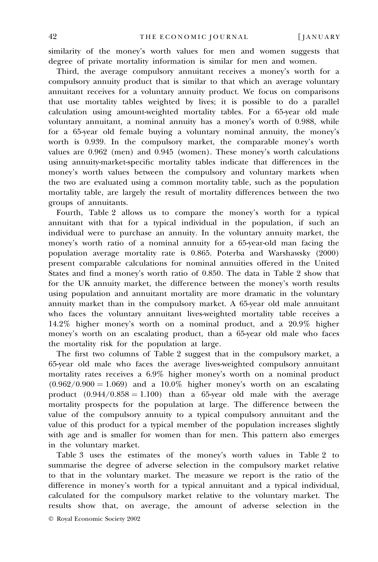similarity of the money's worth values for men and women suggests that degree of private mortality information is similar for men and women.

Third, the average compulsory annuitant receives a money's worth for a compulsory annuity product that is similar to that which an average voluntary annuitant receives for a voluntary annuity product. We focus on comparisons that use mortality tables weighted by lives; it is possible to do a parallel calculation using amount-weighted mortality tables. For a 65-year old male voluntary annuitant, a nominal annuity has a money's worth of 0.988, while for a 65-year old female buying a voluntary nominal annuity, the money's worth is 0.939. In the compulsory market, the comparable money's worth values are 0.962 (men) and 0.945 (women). These money's worth calculations using annuity-market-specific mortality tables indicate that differences in the money's worth values between the compulsory and voluntary markets when the two are evaluated using a common mortality table, such as the population mortality table, are largely the result of mortality differences between the two groups of annuitants.

Fourth, Table 2 allows us to compare the money's worth for a typical annuitant with that for a typical individual in the population, if such an individual were to purchase an annuity. In the voluntary annuity market, the money's worth ratio of a nominal annuity for a 65-year-old man facing the population average mortality rate is 0.865. Poterba and Warshawsky (2000) present comparable calculations for nominal annuities offered in the United States and find a money's worth ratio of 0.850. The data in Table 2 show that for the UK annuity market, the difference between the money's worth results using population and annuitant mortality are more dramatic in the voluntary annuity market than in the compulsory market. A 65-year old male annuitant who faces the voluntary annuitant lives-weighted mortality table receives a 14.2% higher money's worth on a nominal product, and a 20.9% higher money's worth on an escalating product, than a 65-year old male who faces the mortality risk for the population at large.

The first two columns of Table 2 suggest that in the compulsory market, a 65-year old male who faces the average lives-weighted compulsory annuitant mortality rates receives a 6.9% higher money's worth on a nominal product  $(0.962/0.900 = 1.069)$  and a 10.0% higher money's worth on an escalating product  $(0.944/0.858 = 1.100)$  than a 65-year old male with the average mortality prospects for the population at large. The difference between the value of the compulsory annuity to a typical compulsory annuitant and the value of this product for a typical member of the population increases slightly with age and is smaller for women than for men. This pattern also emerges in the voluntary market.

Table 3 uses the estimates of the money's worth values in Table 2 to summarise the degree of adverse selection in the compulsory market relative to that in the voluntary market. The measure we report is the ratio of the difference in money's worth for a typical annuitant and a typical individual, calculated for the compulsory market relative to the voluntary market. The results show that, on average, the amount of adverse selection in the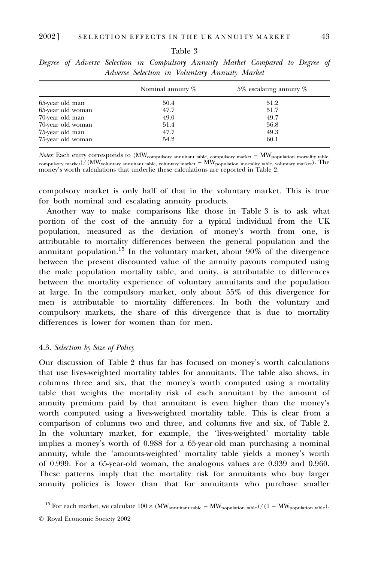#### Table 3

|                   | Nominal annuity % | 5% escalating annuity $\%$ |
|-------------------|-------------------|----------------------------|
| 65-year old man   | 50.4              | 51.2                       |
| 65-year old woman | 47.7              | 51.7                       |
| 70-year old man   | 49.0              | 49.7                       |
| 70-year old woman | 51.4              | 56.8                       |
| 75-year old man   | 47.7              | 49.3                       |
| 75-year old woman | 54.2              | 60.1                       |

Degree of Adverse Selection in Compulsory Annuity Market Compared to Degree of Adverse Selection in Voluntary Annuity Market

Notes: Each entry corresponds to  $(MW_{\text{complex}}$  annuitant table, compulsory market  $-MW_{\text{population mortality table}}$ compulsory market) / (MWvoluntary annuitant table, voluntary market  $-$  MWpopulation mortality table, voluntary market). The money's worth calculations that underlie these calculations are reported in Table 2.

compulsory market is only half of that in the voluntary market. This is true for both nominal and escalating annuity products.

Another way to make comparisons like those in Table 3 is to ask what portion of the cost of the annuity for a typical individual from the UK population, measured as the deviation of money's worth from one, is attributable to mortality differences between the general population and the annuitant population.<sup>15</sup> In the voluntary market, about  $90\%$  of the divergence between the present discounted value of the annuity payouts computed using the male population mortality table, and unity, is attributable to differences between the mortality experience of voluntary annuitants and the population at large. In the compulsory market, only about 55% of this divergence for men is attributable to mortality differences. In both the voluntary and compulsory markets, the share of this divergence that is due to mortality differences is lower for women than for men.

#### 4.3. Selection by Size of Policy

Our discussion of Table 2 thus far has focused on money's worth calculations that use lives-weighted mortality tables for annuitants. The table also shows, in columns three and six, that the money's worth computed using a mortality table that weights the mortality risk of each annuitant by the amount of annuity premium paid by that annuitant is even higher than the money's worth computed using a lives-weighted mortality table. This is clear from a comparison of columns two and three, and columns five and six, of Table 2. In the voluntary market, for example, the 'lives-weighted' mortality table implies a money's worth of 0.988 for a 65-year-old man purchasing a nominal annuity, while the `amounts-weighted' mortality table yields a money's worth of 0.999. For a 65-year-old woman, the analogous values are 0.939 and 0.960. These patterns imply that the mortality risk for annuitants who buy larger annuity policies is lower than that for annuitants who purchase smaller

<sup>&</sup>lt;sup>15</sup> For each market, we calculate  $100 \times (MW_{annuitant table} - MW_{population table})/(1 - MW_{population table})$ .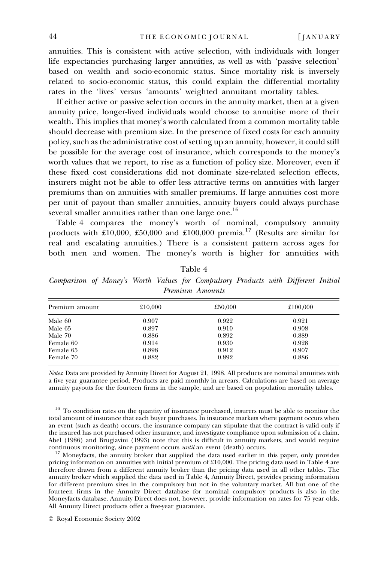annuities. This is consistent with active selection, with individuals with longer life expectancies purchasing larger annuities, as well as with `passive selection' based on wealth and socio-economic status. Since mortality risk is inversely related to socio-economic status, this could explain the differential mortality rates in the 'lives' versus 'amounts' weighted annuitant mortality tables.

If either active or passive selection occurs in the annuity market, then at a given annuity price, longer-lived individuals would choose to annuitise more of their wealth. This implies that money's worth calculated from a common mortality table should decrease with premium size. In the presence of fixed costs for each annuity policy, such as the administrative cost of setting up an annuity, however, it could still be possible for the average cost of insurance, which corresponds to the money's worth values that we report, to rise as a function of policy size. Moreover, even if these fixed cost considerations did not dominate size-related selection effects, insurers might not be able to offer less attractive terms on annuities with larger premiums than on annuities with smaller premiums. If large annuities cost more per unit of payout than smaller annuities, annuity buyers could always purchase several smaller annuities rather than one large one.<sup>16</sup>

Table 4 compares the money's worth of nominal, compulsory annuity products with £10,000, £50,000 and £100,000 premia.<sup>17</sup> (Results are similar for real and escalating annuities.) There is a consistent pattern across ages for both men and women. The money's worth is higher for annuities with

| Premium amount | £10,000 | £50,000 | £100,000 |
|----------------|---------|---------|----------|
| Male 60        | 0.907   | 0.922   | 0.921    |
| Male 65        | 0.897   | 0.910   | 0.908    |
| Male 70        | 0.886   | 0.892   | 0.889    |
| Female 60      | 0.914   | 0.930   | 0.928    |
| Female 65      | 0.898   | 0.912   | 0.907    |
| Female 70      | 0.882   | 0.892   | 0.886    |

Table 4

Comparison of Money's Worth Values for Compulsory Products with Different Initial Premium Amounts

Notes: Data are provided by Annuity Direct for August 21, 1998. All products are nominal annuities with a five year guarantee period. Products are paid monthly in arrears. Calculations are based on average annuity payouts for the fourteen firms in the sample, and are based on population mortality tables.

<sup>16</sup> To condition rates on the quantity of insurance purchased, insurers must be able to monitor the total amount of insurance that each buyer purchases. In insurance markets where payment occurs when an event (such as death) occurs, the insurance company can stipulate that the contract is valid only if the insured has not purchased other insurance, and investigate compliance upon submission of a claim. Abel (1986) and Brugiavini (1993) note that this is difficult in annuity markets, and would require continuous monitoring, since payment occurs *until* an event (death) occurs.

<sup>17</sup> Moneyfacts, the annuity broker that supplied the data used earlier in this paper, only provides pricing information on annuities with initial premium of £10,000. The pricing data used in Table 4 are therefore drawn from a different annuity broker than the pricing data used in all other tables. The annuity broker which supplied the data used in Table 4, Annuity Direct, provides pricing information for different premium sizes in the compulsory but not in the voluntary market. All but one of the fourteen firms in the Annuity Direct database for nominal compulsory products is also in the Moneyfacts database. Annuity Direct does not, however, provide information on rates for 75 year olds. All Annuity Direct products offer a five-year guarantee.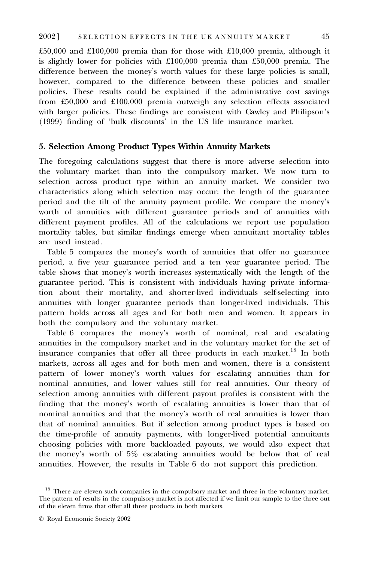£50,000 and £100,000 premia than for those with £10,000 premia, although it is slightly lower for policies with £100,000 premia than £50,000 premia. The difference between the money's worth values for these large policies is small, however, compared to the difference between these policies and smaller policies. These results could be explained if the administrative cost savings from £50,000 and £100,000 premia outweigh any selection effects associated with larger policies. These findings are consistent with Cawley and Philipson's (1999) finding of 'bulk discounts' in the US life insurance market.

## 5. Selection Among Product Types Within Annuity Markets

The foregoing calculations suggest that there is more adverse selection into the voluntary market than into the compulsory market. We now turn to selection across product type within an annuity market. We consider two characteristics along which selection may occur: the length of the guarantee period and the tilt of the annuity payment profile. We compare the money's worth of annuities with different guarantee periods and of annuities with different payment profiles. All of the calculations we report use population mortality tables, but similar findings emerge when annuitant mortality tables are used instead.

Table 5 compares the money's worth of annuities that offer no guarantee period, a five year guarantee period and a ten year guarantee period. The table shows that money's worth increases systematically with the length of the guarantee period. This is consistent with individuals having private information about their mortality, and shorter-lived individuals self-selecting into annuities with longer guarantee periods than longer-lived individuals. This pattern holds across all ages and for both men and women. It appears in both the compulsory and the voluntary market.

Table 6 compares the money's worth of nominal, real and escalating annuities in the compulsory market and in the voluntary market for the set of insurance companies that offer all three products in each market.<sup>18</sup> In both markets, across all ages and for both men and women, there is a consistent pattern of lower money's worth values for escalating annuities than for nominal annuities, and lower values still for real annuities. Our theory of selection among annuities with different payout profiles is consistent with the finding that the money's worth of escalating annuities is lower than that of nominal annuities and that the money's worth of real annuities is lower than that of nominal annuities. But if selection among product types is based on the time-profile of annuity payments, with longer-lived potential annuitants choosing policies with more backloaded payouts, we would also expect that the money's worth of 5% escalating annuities would be below that of real annuities. However, the results in Table 6 do not support this prediction.

<sup>&</sup>lt;sup>18</sup> There are eleven such companies in the compulsory market and three in the voluntary market. The pattern of results in the compulsory market is not affected if we limit our sample to the three out of the eleven firms that offer all three products in both markets.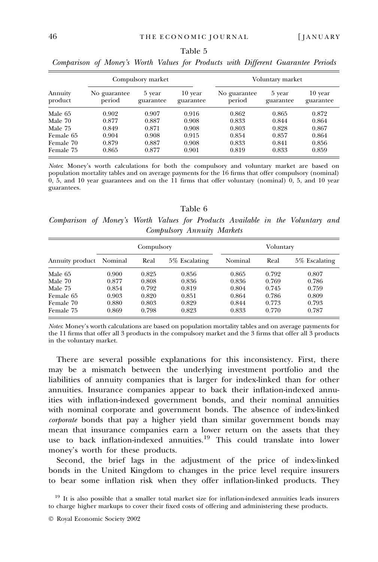|                    |                        | Compulsory market   |                      |                        | Voluntary market    |                      |  |
|--------------------|------------------------|---------------------|----------------------|------------------------|---------------------|----------------------|--|
| Annuity<br>product | No guarantee<br>period | 5 year<br>guarantee | 10 year<br>guarantee | No guarantee<br>period | 5 year<br>guarantee | 10 year<br>guarantee |  |
| Male 65            | 0.902                  | 0.907               | 0.916                | 0.862                  | 0.865               | 0.872                |  |
| Male 70            | 0.877                  | 0.887               | 0.908                | 0.833                  | 0.844               | 0.864                |  |
| Male 75            | 0.849                  | 0.871               | 0.908                | 0.803                  | 0.828               | 0.867                |  |
| Female 65          | 0.904                  | 0.908               | 0.915                | 0.854                  | 0.857               | 0.864                |  |
| Female 70          | 0.879                  | 0.887               | 0.908                | 0.833                  | 0.841               | 0.856                |  |
| Female 75          | 0.865                  | 0.877               | 0.901                | 0.819                  | 0.833               | 0.859                |  |

Table 5 Comparison of Money's Worth Values for Products with Different Guarantee Periods

Notes: Money's worth calculations for both the compulsory and voluntary market are based on population mortality tables and on average payments for the 16 firms that offer compulsory (nominal)  $0, 5$ , and 10 year guarantees and on the  $11$  firms that offer voluntary (nominal)  $0, 5$ , and 10 year guarantees.

Table 6 Comparison of Money's Worth Values for Products Available in the Voluntary and Compulsory Annuity Markets

|                         |       | Compulsory |               | Voluntary |       |               |
|-------------------------|-------|------------|---------------|-----------|-------|---------------|
| Annuity product Nominal |       | Real       | 5% Escalating | Nominal   | Real  | 5% Escalating |
| Male 65                 | 0.900 | 0.825      | 0.856         | 0.865     | 0.792 | 0.807         |
| Male 70                 | 0.877 | 0.808      | 0.836         | 0.836     | 0.769 | 0.786         |
| Male 75                 | 0.854 | 0.792      | 0.819         | 0.804     | 0.745 | 0.759         |
| Female 65               | 0.903 | 0.820      | 0.851         | 0.864     | 0.786 | 0.809         |
| Female 70               | 0.880 | 0.803      | 0.829         | 0.844     | 0.773 | 0.793         |
| Female 75               | 0.869 | 0.798      | 0.823         | 0.833     | 0.770 | 0.787         |

Notes: Money's worth calculations are based on population mortality tables and on average payments for the 11 firms that offer all 3 products in the compulsory market and the 3 firms that offer all 3 products in the voluntary market.

There are several possible explanations for this inconsistency. First, there may be a mismatch between the underlying investment portfolio and the liabilities of annuity companies that is larger for index-linked than for other annuities. Insurance companies appear to back their inflation-indexed annuities with inflation-indexed government bonds, and their nominal annuities with nominal corporate and government bonds. The absence of index-linked corporate bonds that pay a higher yield than similar government bonds may mean that insurance companies earn a lower return on the assets that they use to back inflation-indexed annuities.<sup>19</sup> This could translate into lower money's worth for these products.

Second, the brief lags in the adjustment of the price of index-linked bonds in the United Kingdom to changes in the price level require insurers to bear some inflation risk when they offer inflation-linked products. They

 $19$  It is also possible that a smaller total market size for inflation-indexed annuities leads insurers to charge higher markups to cover their fixed costs of offering and administering these products.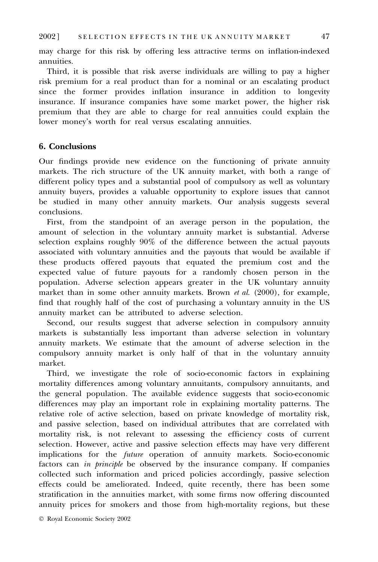may charge for this risk by offering less attractive terms on inflation-indexed annuities.

Third, it is possible that risk averse individuals are willing to pay a higher risk premium for a real product than for a nominal or an escalating product since the former provides inflation insurance in addition to longevity insurance. If insurance companies have some market power, the higher risk premium that they are able to charge for real annuities could explain the lower money's worth for real versus escalating annuities.

# 6. Conclusions

Our findings provide new evidence on the functioning of private annuity markets. The rich structure of the UK annuity market, with both a range of different policy types and a substantial pool of compulsory as well as voluntary annuity buyers, provides a valuable opportunity to explore issues that cannot be studied in many other annuity markets. Our analysis suggests several conclusions.

First, from the standpoint of an average person in the population, the amount of selection in the voluntary annuity market is substantial. Adverse selection explains roughly 90% of the difference between the actual payouts associated with voluntary annuities and the payouts that would be available if these products offered payouts that equated the premium cost and the expected value of future payouts for a randomly chosen person in the population. Adverse selection appears greater in the UK voluntary annuity market than in some other annuity markets. Brown et al. (2000), for example, find that roughly half of the cost of purchasing a voluntary annuity in the US annuity market can be attributed to adverse selection.

Second, our results suggest that adverse selection in compulsory annuity markets is substantially less important than adverse selection in voluntary annuity markets. We estimate that the amount of adverse selection in the compulsory annuity market is only half of that in the voluntary annuity market.

Third, we investigate the role of socio-economic factors in explaining mortality differences among voluntary annuitants, compulsory annuitants, and the general population. The available evidence suggests that socio-economic differences may play an important role in explaining mortality patterns. The relative role of active selection, based on private knowledge of mortality risk, and passive selection, based on individual attributes that are correlated with mortality risk, is not relevant to assessing the efficiency costs of current selection. However, active and passive selection effects may have very different implications for the future operation of annuity markets. Socio-economic factors can in principle be observed by the insurance company. If companies collected such information and priced policies accordingly, passive selection effects could be ameliorated. Indeed, quite recently, there has been some stratification in the annuities market, with some firms now offering discounted annuity prices for smokers and those from high-mortality regions, but these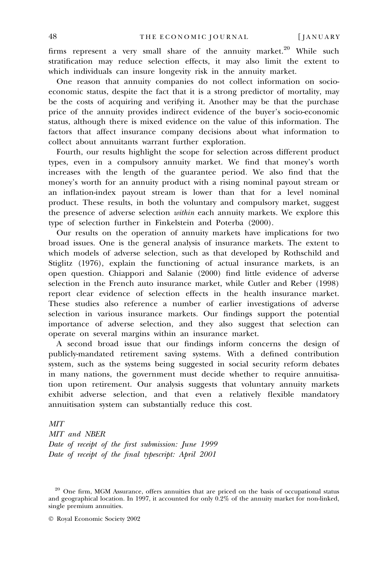firms represent a very small share of the annuity market.<sup>20</sup> While such stratification may reduce selection effects, it may also limit the extent to which individuals can insure longevity risk in the annuity market.

One reason that annuity companies do not collect information on socioeconomic status, despite the fact that it is a strong predictor of mortality, may be the costs of acquiring and verifying it. Another may be that the purchase price of the annuity provides indirect evidence of the buyer's socio-economic status, although there is mixed evidence on the value of this information. The factors that affect insurance company decisions about what information to collect about annuitants warrant further exploration.

Fourth, our results highlight the scope for selection across different product types, even in a compulsory annuity market. We find that money's worth increases with the length of the guarantee period. We also find that the money's worth for an annuity product with a rising nominal payout stream or an inflation-index payout stream is lower than that for a level nominal product. These results, in both the voluntary and compulsory market, suggest the presence of adverse selection within each annuity markets. We explore this type of selection further in Finkelstein and Poterba (2000).

Our results on the operation of annuity markets have implications for two broad issues. One is the general analysis of insurance markets. The extent to which models of adverse selection, such as that developed by Rothschild and Stiglitz (1976), explain the functioning of actual insurance markets, is an open question. Chiappori and Salanie (2000) find little evidence of adverse selection in the French auto insurance market, while Cutler and Reber (1998) report clear evidence of selection effects in the health insurance market. These studies also reference a number of earlier investigations of adverse selection in various insurance markets. Our findings support the potential importance of adverse selection, and they also suggest that selection can operate on several margins within an insurance market.

A second broad issue that our findings inform concerns the design of publicly-mandated retirement saving systems. With a defined contribution system, such as the systems being suggested in social security reform debates in many nations, the government must decide whether to require annuitisation upon retirement. Our analysis suggests that voluntary annuity markets exhibit adverse selection, and that even a relatively flexible mandatory annuitisation system can substantially reduce this cost.

MIT MIT and NBER Date of receipt of the first submission: June 1999 Date of receipt of the final typescript: April 2001

 $20$  One firm, MGM Assurance, offers annuities that are priced on the basis of occupational status and geographical location. In 1997, it accounted for only 0.2% of the annuity market for non-linked, single premium annuities.

Ó Royal Economic Society 2002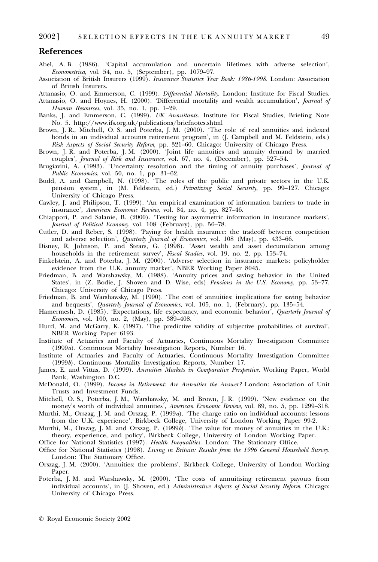#### References

- Abel, A. B. (1986). `Capital accumulation and uncertain lifetimes with adverse selection',  $Econometrica$ , vol. 54, no. 5, (September), pp. 1079-97.
- Association of British Insurers (1999). Insurance Statistics Year Book: 1986-1998. London: Association of British Insurers.
- Attanasio, O. and Emmerson, C. (1999). *Differential Mortality*. London: Institute for Fiscal Studies.
- Attanasio, O. and Hoynes, H. (2000). 'Differential mortality and wealth accumulation', Journal of Human Resources, vol. 35, no. 1, pp. 1-29.
- Banks, J. and Emmerson, C. (1999). UK Annuitants. Institute for Fiscal Studies, Briefing Note No. 5. http://www.ifs.org.uk/publications/briefnotes.shtml
- Brown, J. R., Mitchell, O. S. and Poterba, J. M. (2000). `The role of real annuities and indexed bonds in an individual accounts retirement program', in (J. Campbell and M. Feldstein, eds.) Risk Aspects of Social Security Reform, pp. 321-60. Chicago: University of Chicago Press.
- Brown, J. R. and Poterba, J. M. (2000). 'Joint life annuities and annuity demand by married couples', Journal of Risk and Insurance, vol. 67, no. 4, (December), pp. 527-54.
- Brugiavini, A. (1993). 'Uncertainty resolution and the timing of annuity purchases', Journal of Public Economics, vol. 50, no. 1, pp. 31-62.
- Budd, A. and Campbell, N. (1998). 'The roles of the public and private sectors in the U.K. pension system', in (M. Feldstein, ed.) Privatizing Social Security, pp. 99-127. Chicago: University of Chicago Press.
- Cawley, J. and Philipson, T. (1999). `An empirical examination of information barriers to trade in insurance', American Economic Review, vol. 84, no. 4, pp. 827-46.
- Chiappori, P. and Salanie, B. (2000). `Testing for asymmetric information in insurance markets', Journal of Political Economy, vol. 108 (February), pp. 56-78.
- Cutler, D. and Reber, S. (1998). `Paying for health insurance: the tradeoff between competition and adverse selection', Quarterly Journal of Economics, vol. 108 (May), pp. 433-66.
- Disney, R, Johnson, P. and Stears, G. (1998). `Asset wealth and asset decumulation among households in the retirement survey', Fiscal Studies, vol. 19, no. 2, pp. 153-74.
- Finkelstein, A. and Poterba, J. M. (2000). `Adverse selection in insurance markets: policyholder evidence from the U.K. annuity market', NBER Working Paper 8045.
- Friedman, B. and Warshawsky, M. (1988). `Annuity prices and saving behavior in the United States', in (Z. Bodie, J. Shoven and D. Wise, eds) Pensions in the U.S. Economy, pp. 53-77. Chicago: University of Chicago Press.
- Friedman, B. and Warshawsky, M. (1990). `The cost of annuities: implications for saving behavior and bequests', Quarterly Journal of Economics, vol. 105, no. 1, (February), pp. 135-54.
- Hamermesh, D. (1985). 'Expectations, life expectancy, and economic behavior', Quarterly Journal of Economics, vol. 100, no. 2, (May), pp. 389-408.
- Hurd, M. and McGarry, K. (1997). `The predictive validity of subjective probabilities of survival', NBER Working Paper 6193.
- Institute of Actuaries and Faculty of Actuaries, Continuous Mortality Investigation Committee (1999a). Continuous Mortality Investigation Reports, Number 16.
- Institute of Actuaries and Faculty of Actuaries, Continuous Mortality Investigation Committee (1999b). Continuous Mortality Investigation Reports, Number 17.
- James, E. and Vittas, D. (1999). Annuities Markets in Comparative Perspective. Working Paper, World Bank, Washington D.C.
- McDonald, O. (1999). Income in Retirement: Are Annuities the Answer? London: Association of Unit Trusts and Investment Funds.
- Mitchell, O. S., Poterba, J. M., Warshawsky, M. and Brown, J. R. (1999). 'New evidence on the money's worth of individual annuities', American Economic Review, vol. 89, no. 5, pp. 1299-318.
- Murthi, M., Orszag, J. M. and Orszag, P. (1999a). 'The charge ratio on individual accounts: lessons from the U.K. experience', Birkbeck College, University of London Working Paper 99-2.
- Murthi, M., Orszag, J. M. and Orszag, P. (1999b). 'The value for money of annuities in the U.K.: theory, experience, and policy', Birkbeck College, University of London Working Paper.
- Office for National Statistics (1997). Health Inequalities. London: The Stationary Office.
- Office for National Statistics (1998). Living in Britain: Results from the 1996 General Household Survey. London: The Stationary Office.
- Orszag, J. M. (2000). `Annuities: the problems'. Birkbeck College, University of London Working Paper.
- Poterba, J. M. and Warshawsky, M. (2000). 'The costs of annuitising retirement payouts from individual accounts', in (J. Shoven, ed.) Administrative Aspects of Social Security Reform. Chicago: University of Chicago Press.